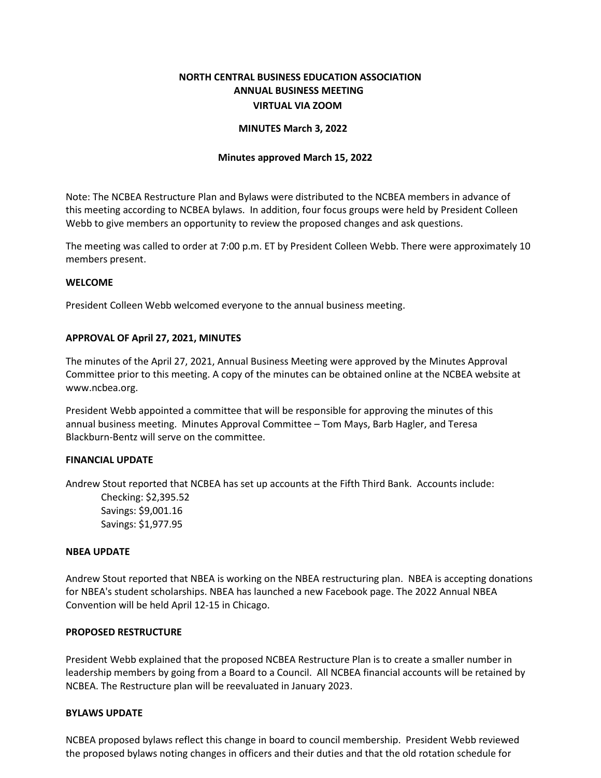# **NORTH CENTRAL BUSINESS EDUCATION ASSOCIATION ANNUAL BUSINESS MEETING VIRTUAL VIA ZOOM**

## **MINUTES March 3, 2022**

#### **Minutes approved March 15, 2022**

Note: The NCBEA Restructure Plan and Bylaws were distributed to the NCBEA members in advance of this meeting according to NCBEA bylaws. In addition, four focus groups were held by President Colleen Webb to give members an opportunity to review the proposed changes and ask questions.

The meeting was called to order at 7:00 p.m. ET by President Colleen Webb. There were approximately 10 members present.

## **WELCOME**

President Colleen Webb welcomed everyone to the annual business meeting.

## **APPROVAL OF April 27, 2021, MINUTES**

The minutes of the April 27, 2021, Annual Business Meeting were approved by the Minutes Approval Committee prior to this meeting. A copy of the minutes can be obtained online at the NCBEA website at [www.ncbea.org.](http://www.ncbea.org/)

President Webb appointed a committee that will be responsible for approving the minutes of this annual business meeting. Minutes Approval Committee – Tom Mays, Barb Hagler, and Teresa Blackburn-Bentz will serve on the committee.

#### **FINANCIAL UPDATE**

Andrew Stout reported that NCBEA has set up accounts at the Fifth Third Bank. Accounts include:

Checking: \$2,395.52 Savings: \$9,001.16 Savings: \$1,977.95

#### **NBEA UPDATE**

Andrew Stout reported that NBEA is working on the NBEA restructuring plan. NBEA is accepting donations for NBEA's student scholarships. NBEA has launched a new Facebook page. The 2022 Annual NBEA Convention will be held April 12-15 in Chicago.

#### **PROPOSED RESTRUCTURE**

President Webb explained that the proposed NCBEA Restructure Plan is to create a smaller number in leadership members by going from a Board to a Council. All NCBEA financial accounts will be retained by NCBEA. The Restructure plan will be reevaluated in January 2023.

## **BYLAWS UPDATE**

NCBEA proposed bylaws reflect this change in board to council membership. President Webb reviewed the proposed bylaws noting changes in officers and their duties and that the old rotation schedule for